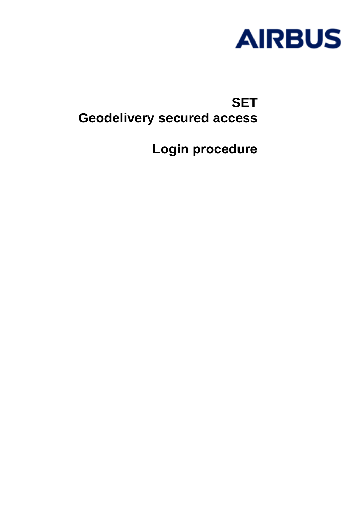

# **SET Geodelivery secured access**

**Login procedure**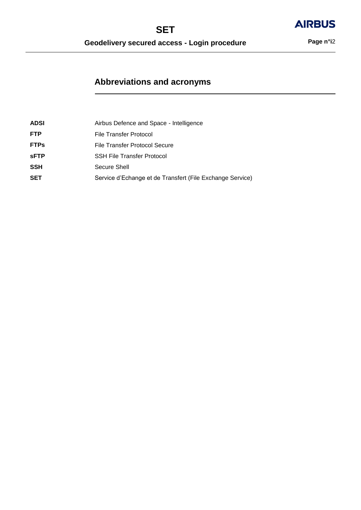**AIRBUS** 

# **Abbreviations and acronyms**

| <b>ADSI</b> | Airbus Defence and Space - Intelligence                   |
|-------------|-----------------------------------------------------------|
| <b>FTP</b>  | File Transfer Protocol                                    |
| <b>FTPs</b> | File Transfer Protocol Secure                             |
| <b>sFTP</b> | <b>SSH File Transfer Protocol</b>                         |
| <b>SSH</b>  | Secure Shell                                              |
| <b>SET</b>  | Service d'Echange et de Transfert (File Exchange Service) |
|             |                                                           |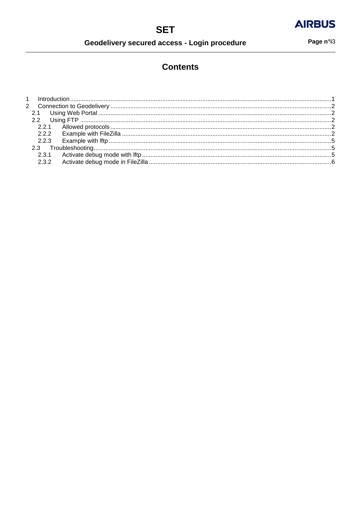Geodelivery secured access - Login procedure

Page n°i3

# **Contents**

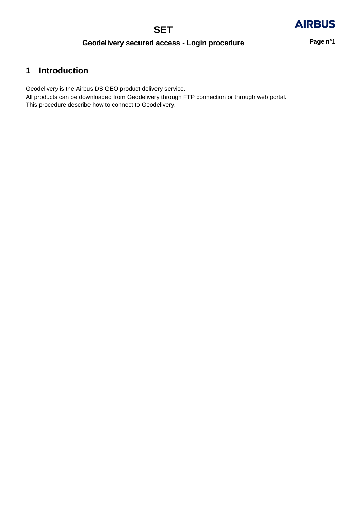# **AIRBUS**

# **1 Introduction**

Geodelivery is the Airbus DS GEO product delivery service.

All products can be downloaded from Geodelivery through FTP connection or through web portal. This procedure describe how to connect to Geodelivery.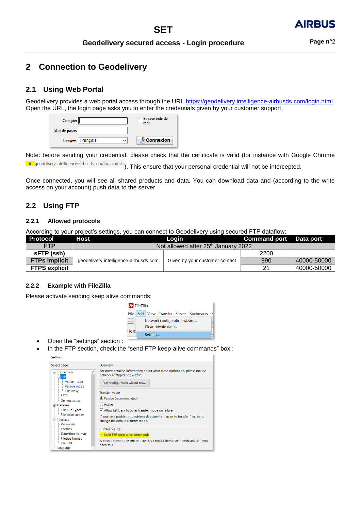## **2 Connection to Geodelivery**

### **2.1 Using Web Portal**

Geodelivery provides a web portal access through the URL<https://geodelivery.intelligence-airbusds.com/login.html> Open the URL, the login page asks you to enter the credentials given by your customer support.

| Compte:       |                  | Se souvenir de<br>moi |
|---------------|------------------|-----------------------|
| Mot de passe: |                  |                       |
|               | Langue: Français | <b>Connexion</b>      |

Note: before sending your credential, please check that the certificate is valid (for instance with Google Chrome e geodelivery.intelligence-airbusds.com/login.html ). This ensure that your personal credential will not be intercepted.

Once connected, you will see all shared products and data. You can download data and (according to the write access on your account) push data to the server.

### **2.2 Using FTP**

#### **2.2.1 Allowed protocols**

According to your project's settings, you can connect to Geodelivery using secured FTP dataflow:

| Protocol             | Host                                  | Login                                           | Command port Data port |             |
|----------------------|---------------------------------------|-------------------------------------------------|------------------------|-------------|
| <b>FTP</b>           |                                       | Not allowed after 25 <sup>th</sup> January 2022 |                        |             |
| sFTP (ssh)           |                                       |                                                 | 2200                   |             |
| <b>FTPs implicit</b> | geodelivery.intelligence-airbusds.com | Given by your customer contact                  | 990                    | 40000-50000 |
| <b>FTPS explicit</b> |                                       |                                                 | 21                     | 40000-50000 |

#### **2.2.2 Example with FileZilla**

المستحدث

Please activate sending keep alive commands:



- Open the "settings" section :
- In the FTP section, check the "send FTP keep-alive commands" box :

| bettings                                                                                                                         |                                                                                                                                                                                                                             |
|----------------------------------------------------------------------------------------------------------------------------------|-----------------------------------------------------------------------------------------------------------------------------------------------------------------------------------------------------------------------------|
| Select page:                                                                                                                     | Overview                                                                                                                                                                                                                    |
| $\wedge$<br>$\Box$ Connection<br>e FTP<br>- Active mode<br>- Passive mode                                                        | For more detailed information about what these options do, please run the<br>network configuration wizard.<br>Run configuration wizard now                                                                                  |
| <b>FTP Proxy</b>                                                                                                                 | <b>Transfer Mode</b>                                                                                                                                                                                                        |
| <b>SFTP</b><br>Generic proxy<br>$\Box$ Transfers<br>- FTP: File Types<br>- File exists action<br><b>⊟-Interface</b><br>Passwords | lassive (recommended)<br>( ) Active<br>$\sqrt{}$ Allow fall back to other transfer mode on failure<br>If you have problems to retrieve directory listings or to transfer files, try to<br>change the default transfer mode. |
| - Themes                                                                                                                         | <b>FTP Keep-alive</b>                                                                                                                                                                                                       |
| - Date/time format                                                                                                               | Send FTP keep-alive commands                                                                                                                                                                                                |
| - Filesize format<br>- File lists                                                                                                | A proper server does not require this. Contact the server administrator if you<br>need this.                                                                                                                                |
| Language                                                                                                                         |                                                                                                                                                                                                                             |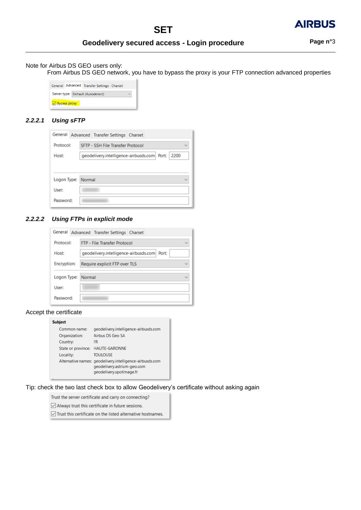

### **Geodelivery secured access - Login procedure Page n°**3

### Note for Airbus DS GEO users only:

From Airbus DS GEO network, you have to bypass the proxy is your FTP connection advanced properties

|                                   |  |  | General Advanced Transfer Settings Charset |              |
|-----------------------------------|--|--|--------------------------------------------|--------------|
| Server type: Default (Autodetect) |  |  |                                            | $\checkmark$ |
| $\vee$ Bypass proxy               |  |  |                                            |              |

#### *2.2.2.1 Using sFTP*

| General            | Advanced Transfer Settings Charset               |  |
|--------------------|--------------------------------------------------|--|
| Protocol:          | SFTP - SSH File Transfer Protocol                |  |
| Host:              | geodelivery.intelligence-airbusds.com Port: 2200 |  |
|                    |                                                  |  |
| Logon Type: Normal |                                                  |  |
|                    |                                                  |  |
| User:              |                                                  |  |
| Password:          |                                                  |  |

#### *2.2.2.2 Using FTPs in explicit mode*

| General     |  |        | Advanced Transfer Settings Charset  |                                             |
|-------------|--|--------|-------------------------------------|---------------------------------------------|
| Protocol:   |  |        | <b>FTP - File Transfer Protocol</b> | $\sim$                                      |
| Host:       |  |        |                                     | geodelivery.intelligence-airbusds.com Port: |
| Encryption: |  |        | Require explicit FTP over TLS       | ریا                                         |
| Logon Type: |  | Normal |                                     | ریا                                         |
| User:       |  |        |                                     |                                             |
| Password:   |  |        |                                     |                                             |

#### Accept the certificate

#### Subject

| Common name:  | geodelivery.intelligence-airbusds.com                                                                               |
|---------------|---------------------------------------------------------------------------------------------------------------------|
| Organization: | Airbus DS Geo SA                                                                                                    |
| Country:      | FR.                                                                                                                 |
|               | State or province: HAUTE-GARONNE                                                                                    |
| Locality:     | <b>TOULOUSE</b>                                                                                                     |
|               | Alternative names: geodelivery.intelligence-airbusds.com<br>geodelivery.astrium-geo.com<br>geodelivery.spotimage.fr |
|               |                                                                                                                     |

#### Tip: check the two last check box to allow Geodelivery's certificate without asking again

Trust the server certificate and carry on connecting?

 $\boxed{\smile}$  Always trust this certificate in future sessions.

 $\boxed{\smash{\odot}}$  Trust this certificate on the listed alternative hostnames.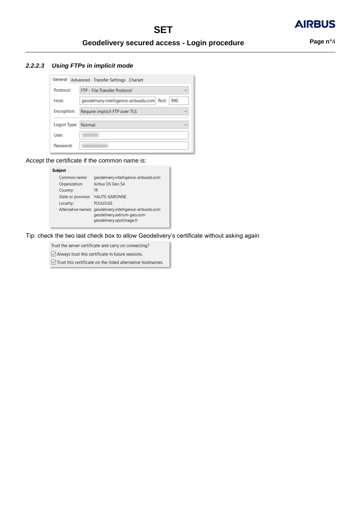#### *2.2.2.3 Using FTPs in implicit mode*

| General     |  | Advanced Transfer Settings Charset                 |  |
|-------------|--|----------------------------------------------------|--|
| Protocol:   |  | <b>FTP - File Transfer Protocol</b>                |  |
| Host:       |  | geodelivery.intelligence-airbusds.com Port:<br>990 |  |
| Encryption: |  | Require implicit FTP over TLS                      |  |
| Logon Type: |  | Normal                                             |  |
| User:       |  |                                                    |  |
| Password:   |  |                                                    |  |

Accept the certificate if the common name is:

#### Subject Common name: geodelivery.intelligence-airbusds.com Organization: Airbus DS Geo SA<br>Country: FR State or province: HAUTE-GARONNE **TOULOUSE** Locality: Alternative names: geodelivery.intelligence-airbusds.com geodelivery.astrium-geo.com geodelivery.spotimage.fr

Tip: check the two last check box to allow Geodelivery's certificate without asking again

Trust the server certificate and carry on connecting?

 $\boxed{\smile}$  Always trust this certificate in future sessions.

 $\boxed{\smile}$  Trust this certificate on the listed alternative hostnames.

**AIRBUS**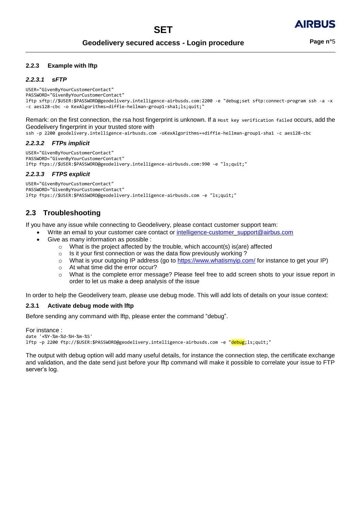#### **2.2.3 Example with lftp**

#### *2.2.3.1 sFTP*

USER="GivenByYourCustomerContact" PASSWORD="GivenByYourCustomerContact" lftp sftp://\$USER:\$PASSWORD@geodelivery.intelligence-airbusds.com:2200 -e "debug;set sftp:connect-program ssh -a -x -c aes128-cbc -o KexAlgorithms=diffie-hellman-group1-sha1;ls;quit;"

Remark: on the first connection, the rsa host fingerprint is unknown. If a Host key verification failed occurs, add the Geodelivery fingerprint in your trusted store with

ssh -p 2200 geodelivery.intelligence-airbusds.com -oKexAlgorithms=+diffie-hellman-group1-sha1 -c aes128-cbc

#### *2.2.3.2 FTPs implicit*

```
USER="GivenByYourCustomerContact"
PASSWORD="GivenByYourCustomerContact"
lftp ftps://$USER:$PASSWORD@geodelivery.intelligence-airbusds.com:990 -e "ls;quit;"
```
#### *2.2.3.3 FTPS explicit*

USER="GivenByYourCustomerContact" PASSWORD="GivenByYourCustomerContact" lftp ftps://\$USER:\$PASSWORD@geodelivery.intelligence-airbusds.com -e "ls;quit;"

### **2.3 Troubleshooting**

If you have any issue while connecting to Geodelivery, please contact customer support team:

- Write an email to your customer care contact or [intelligence-customer\\_support@airbus.com](mailto:intelligence-customer_support@airbus.com)
- Give as many information as possible :
	- $\circ$  What is the project affected by the trouble, which account(s) is(are) affected
	- o Is it your first connection or was the data flow previously working ?
	- o What is your outgoing IP address (go to<https://www.whatismyip.com/> for instance to get your IP)
	- o At what time did the error occur?
	- o What is the complete error message? Please feel free to add screen shots to your issue report in order to let us make a deep analysis of the issue

In order to help the Geodelivery team, please use debug mode. This will add lots of details on your issue context:

#### **2.3.1 Activate debug mode with lftp**

Before sending any command with lftp, please enter the command "debug".

For instance : date '+%Y-%m-%d-%H-%m-%S' lftp –p 2200 ftp://\$USER:\$PASSWORD@geodelivery.intelligence-airbusds.com –e "debug;ls;quit;"

The output with debug option will add many useful details, for instance the connection step, the certificate exchange and validation, and the date send just before your lftp command will make it possible to correlate your issue to FTP server's log.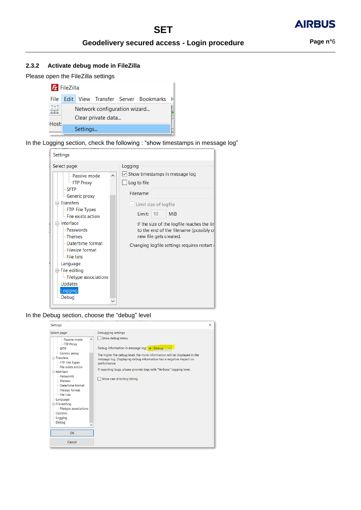#### **2.3.2 Activate debug mode in FileZilla**

Please open the FileZilla settings



In the Logging section, check the following : "show timestamps in message log"

| <b>Settings</b>                                                                                                                                                                                                                                                                                                                                     |          |                                                                                                                                                                                                                                                                                                            |
|-----------------------------------------------------------------------------------------------------------------------------------------------------------------------------------------------------------------------------------------------------------------------------------------------------------------------------------------------------|----------|------------------------------------------------------------------------------------------------------------------------------------------------------------------------------------------------------------------------------------------------------------------------------------------------------------|
| Select page:<br>- Passive mode<br><b>FTP Proxy</b><br>- SFTP<br>Generic proxy<br>$\exists$ Transfers<br>FTP: File Types<br>- File exists action<br>⊟-Interface<br><b>Passwords</b><br>- Themes<br>- Date/time format<br>- Filesize format<br>- File lists<br>- Language<br>⊟ File editing<br>Filetype associations<br>- Updates<br>Logging<br>Debug | $\wedge$ | Logging<br>$\vee$ Show timestamps in message log<br>Log to file<br>Filename:<br>$\vee$ Limit size of logfile<br>Limit:<br><b>MiB</b><br>10<br>If the size of the logfile reaches the lin<br>to the end of the filename (possibly o<br>new file gets created.<br>Changing logfile settings requires restart |

In the Debug section, choose the "debug" level

| <b>Settings</b>                                                                                                                                                                                                                                                                                                                                        |                                                                                                                                                                                                                                                                                                                                                                           | $\times$ |
|--------------------------------------------------------------------------------------------------------------------------------------------------------------------------------------------------------------------------------------------------------------------------------------------------------------------------------------------------------|---------------------------------------------------------------------------------------------------------------------------------------------------------------------------------------------------------------------------------------------------------------------------------------------------------------------------------------------------------------------------|----------|
| Select page:<br>- Passive mode<br>- FTP Proxy<br><b>SFTP</b><br>- Generic proxy<br><b>□ Transfers</b><br>FTP: File Types<br>- File exists action<br>interface<br>Passwords<br>- Themes<br>Date/time format<br><b>Filesize format</b><br>- File lists<br>-Language<br><b>E</b> File editing<br>- Filetype associations<br>-Updates<br>-Logging<br>Debug | Debugging settings<br>Show debug menu<br>$\wedge$<br>Debug information in message log: 4 - Debug<br>The higher the debug level, the more information will be displayed in the<br>message log. Displaying debug information has a negative impact on<br>performance.<br>If reporting bugs, please provide logs with "Verbose" logging level.<br>Show raw directory listing |          |
|                                                                                                                                                                                                                                                                                                                                                        |                                                                                                                                                                                                                                                                                                                                                                           |          |
| <b>OK</b>                                                                                                                                                                                                                                                                                                                                              |                                                                                                                                                                                                                                                                                                                                                                           |          |
| Cancel                                                                                                                                                                                                                                                                                                                                                 |                                                                                                                                                                                                                                                                                                                                                                           |          |